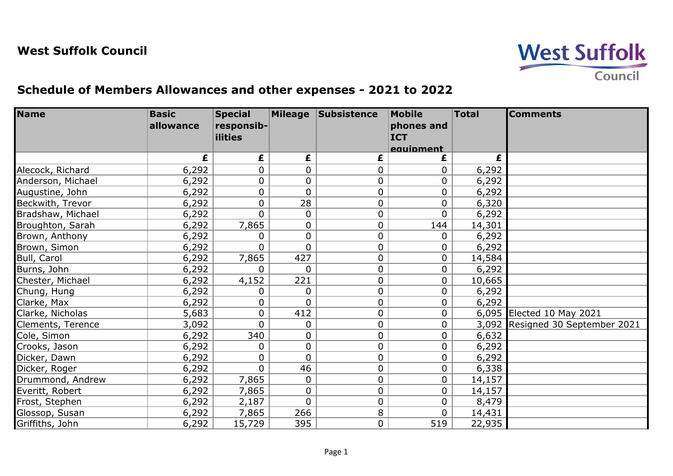

## **Schedule of Members Allowances and other expenses - 2021 to 2022**

| <b>Name</b>       | <b>Basic</b> | <b>Special</b> |                | Mileage Subsistence | <b>Mobile</b>  | <b>Total</b> | <b>Comments</b>                  |
|-------------------|--------------|----------------|----------------|---------------------|----------------|--------------|----------------------------------|
|                   | allowance    | responsib-     |                |                     | phones and     |              |                                  |
|                   |              | <b>ilities</b> |                |                     | <b>ICT</b>     |              |                                  |
|                   |              |                |                |                     | equipment      |              |                                  |
|                   | £            | £              | £              | £                   | £              | £            |                                  |
| Alecock, Richard  | 6,292        | 0              | $\mathbf 0$    | $\mathbf 0$         | $\mathbf 0$    | 6,292        |                                  |
| Anderson, Michael | 6,292        | 0              | $\mathbf 0$    | $\overline{0}$      | $\mathbf{0}$   | 6,292        |                                  |
| Augustine, John   | 6,292        | 0              | $\overline{0}$ | $\mathbf 0$         | $\mathbf 0$    | 6,292        |                                  |
| Beckwith, Trevor  | 6,292        | 0              | 28             | $\boldsymbol{0}$    | $\mathbf 0$    | 6,320        |                                  |
| Bradshaw, Michael | 6,292        | $\overline{0}$ | $\mathbf 0$    | $\mathbf 0$         | $\mathbf{0}$   | 6,292        |                                  |
| Broughton, Sarah  | 6,292        | 7,865          | $\mathbf 0$    | $\mathbf 0$         | 144            | 14,301       |                                  |
| Brown, Anthony    | 6,292        | 0              | $\mathbf 0$    | 0                   | $\mathbf 0$    | 6,292        |                                  |
| Brown, Simon      | 6,292        | $\overline{0}$ | $\overline{0}$ | $\pmb{0}$           | $\mathbf{0}$   | 6,292        |                                  |
| Bull, Carol       | 6,292        | 7,865          | 427            | $\mathbf 0$         | $\mathbf 0$    | 14,584       |                                  |
| Burns, John       | 6,292        | 0              | 0              | $\mathbf 0$         | $\mathbf 0$    | 6,292        |                                  |
| Chester, Michael  | 6,292        | 4,152          | 221            | $\boldsymbol{0}$    | $\mathbf 0$    | 10,665       |                                  |
| Chung, Hung       | 6,292        | 0              | $\mathbf 0$    | $\mathbf 0$         | $\mathbf 0$    | 6,292        |                                  |
| Clarke, Max       | 6,292        | 0              | $\overline{0}$ | $\mathbf 0$         | $\mathbf 0$    | 6,292        |                                  |
| Clarke, Nicholas  | 5,683        | 0              | 412            | $\mathbf 0$         | $\mathbf 0$    |              | 6,095 Elected 10 May 2021        |
| Clements, Terence | 3,092        | $\overline{0}$ | $\mathbf 0$    | $\mathbf 0$         | $\mathbf{0}$   |              | 3,092 Resigned 30 September 2021 |
| Cole, Simon       | 6,292        | 340            | $\mathbf 0$    | $\overline{0}$      | $\mathbf{0}$   | 6,632        |                                  |
| Crooks, Jason     | 6,292        | 0              | $\mathbf 0$    | $\mathbf 0$         | $\mathbf{0}$   | 6,292        |                                  |
| Dicker, Dawn      | 6,292        | 0              | $\overline{0}$ | 0                   | $\mathbf 0$    | 6,292        |                                  |
| Dicker, Roger     | 6,292        | $\Omega$       | 46             | $\mathbf 0$         | $\mathbf 0$    | 6,338        |                                  |
| Drummond, Andrew  | 6,292        | 7,865          | $\mathbf 0$    | $\overline{0}$      | $\mathbf 0$    | 14,157       |                                  |
| Everitt, Robert   | 6,292        | 7,865          | 0              | $\mathbf 0$         | $\mathbf 0$    | 14,157       |                                  |
| Frost, Stephen    | 6,292        | 2,187          | 0              | $\boldsymbol{0}$    | $\mathbf 0$    | 8,479        |                                  |
| Glossop, Susan    | 6,292        | 7,865          | 266            | 8                   | $\overline{0}$ | 14,431       |                                  |
| Griffiths, John   | 6,292        | 15,729         | 395            | $\mathbf 0$         | 519            | 22,935       |                                  |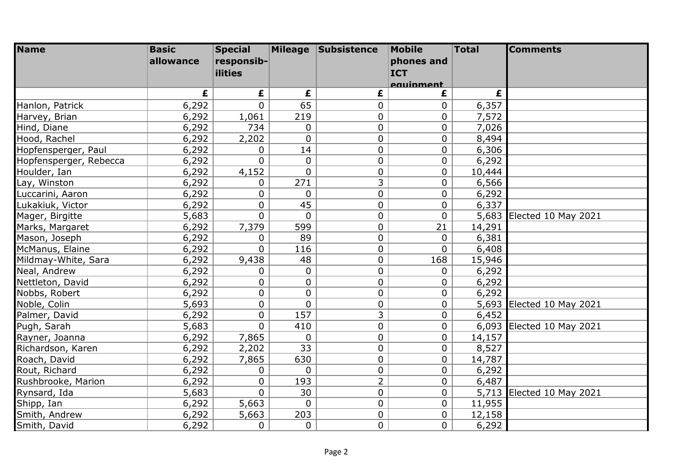| <b>Name</b>            | <b>Basic</b> | <b>Special</b> |                | Mileage Subsistence | <b>Mobile</b>  | <b>Total</b> | <b>Comments</b>           |
|------------------------|--------------|----------------|----------------|---------------------|----------------|--------------|---------------------------|
|                        | allowance    | responsib-     |                |                     | phones and     |              |                           |
|                        |              | <b>ilities</b> |                |                     | <b>ICT</b>     |              |                           |
|                        |              |                |                |                     | equinment      |              |                           |
|                        | £            | £              | £              | £                   | £              | £            |                           |
| Hanlon, Patrick        | 6,292        | $\overline{0}$ | 65             | 0                   | 0              | 6,357        |                           |
| Harvey, Brian          | 6,292        | 1,061          | 219            | $\overline{0}$      | $\mathbf 0$    | 7,572        |                           |
| Hind, Diane            | 6,292        | 734            | $\pmb{0}$      | 0                   | 0              | 7,026        |                           |
| Hood, Rachel           | 6,292        | 2,202          | $\mathbf 0$    | $\overline{0}$      | $\mathbf 0$    | 8,494        |                           |
| Hopfensperger, Paul    | 6,292        | 0              | 14             | 0                   | 0              | 6,306        |                           |
| Hopfensperger, Rebecca | 6,292        | 0              | $\mathbf 0$    | $\overline{0}$      | 0              | 6,292        |                           |
| Houlder, Ian           | 6,292        | 4,152          | $\mathbf 0$    | $\mathbf 0$         | $\mathbf 0$    | 10,444       |                           |
| Lay, Winston           | 6,292        | $\mathbf 0$    | 271            | $\overline{3}$      | $\overline{0}$ | 6,566        |                           |
| Luccarini, Aaron       | 6,292        | $\mathbf 0$    | 0              | 0                   | $\overline{0}$ | 6,292        |                           |
| Lukakiuk, Victor       | 6,292        | 0              | 45             | 0                   | $\overline{0}$ | 6,337        |                           |
| Mager, Birgitte        | 5,683        | $\overline{0}$ | $\mathbf 0$    | 0                   | $\mathbf{0}$   |              | 5,683 Elected 10 May 2021 |
| Marks, Margaret        | 6,292        | 7,379          | 599            | $\overline{0}$      | 21             | 14,291       |                           |
| Mason, Joseph          | 6,292        | 0              | 89             | 0                   | $\mathbf 0$    | 6,381        |                           |
| McManus, Elaine        | 6,292        | $\Omega$       | 116            | $\mathbf 0$         | $\overline{0}$ | 6,408        |                           |
| Mildmay-White, Sara    | 6,292        | 9,438          | 48             | $\pmb{0}$           | 168            | 15,946       |                           |
| Neal, Andrew           | 6,292        | $\overline{0}$ | $\pmb{0}$      | 0                   | 0              | 6,292        |                           |
| Nettleton, David       | 6,292        | $\overline{0}$ | $\overline{0}$ | 0                   | 0              | 6,292        |                           |
| Nobbs, Robert          | 6,292        | $\overline{0}$ | $\overline{0}$ | $\overline{0}$      | $\mathbf 0$    | 6,292        |                           |
| Noble, Colin           | 5,693        | $\mathbf 0$    | $\mathbf 0$    | 0                   | 0              |              | 5,693 Elected 10 May 2021 |
| Palmer, David          | 6,292        | $\overline{0}$ | 157            | 3                   | 0              | 6,452        |                           |
| Pugh, Sarah            | 5,683        | $\overline{0}$ | 410            | 0                   | 0              |              | 6,093 Elected 10 May 2021 |
| Rayner, Joanna         | 6,292        | 7,865          | $\mathbf 0$    | $\overline{0}$      | 0              | 14,157       |                           |
| Richardson, Karen      | 6,292        | 2,202          | 33             | $\pmb{0}$           | $\pmb{0}$      | 8,527        |                           |
| Roach, David           | 6,292        | 7,865          | 630            | $\mathbf 0$         | $\overline{0}$ | 14,787       |                           |
| Rout, Richard          | 6,292        | 0              | $\mathbf 0$    | 0                   | 0              | 6,292        |                           |
| Rushbrooke, Marion     | 6,292        | 0              | 193            | $\overline{2}$      | 0              | 6,487        |                           |
| Rynsard, Ida           | 5,683        | $\Omega$       | 30             | $\overline{0}$      | 0              |              | 5,713 Elected 10 May 2021 |
| Shipp, Ian             | 6,292        | 5,663          | $\mathbf 0$    | $\overline{0}$      | $\overline{0}$ | 11,955       |                           |
| Smith, Andrew          | 6,292        | 5,663          | 203            | 0                   | $\overline{0}$ | 12,158       |                           |
| Smith, David           | 6,292        | 0              | $\mathbf 0$    | 0                   | $\overline{0}$ | 6,292        |                           |